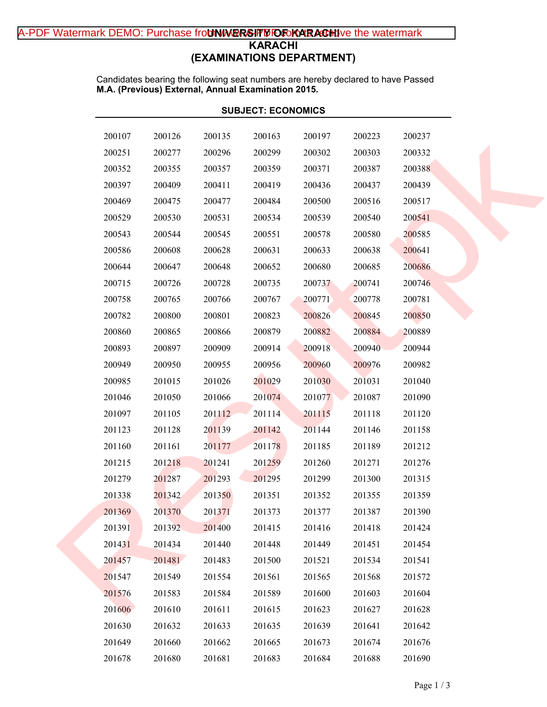# A-PDF Watermark DEMO: Purchase fro**tNWERSIFMOFoKARACHI**ve the watermark **KARACHI (EXAMINATIONS DEPARTMENT)**

Candidates bearing the following seat numbers are hereby declared to have Passed **M.A. (Previous) External, Annual Examination 2015.**

|        | <b>SUBJECT: ECONOMICS</b> |        |        |        |        |        |  |  |  |
|--------|---------------------------|--------|--------|--------|--------|--------|--|--|--|
| 200107 | 200126                    | 200135 | 200163 | 200197 | 200223 | 200237 |  |  |  |
| 200251 | 200277                    | 200296 | 200299 | 200302 | 200303 | 200332 |  |  |  |
| 200352 | 200355                    | 200357 | 200359 | 200371 | 200387 | 200388 |  |  |  |
| 200397 | 200409                    | 200411 | 200419 | 200436 | 200437 | 200439 |  |  |  |
| 200469 | 200475                    | 200477 | 200484 | 200500 | 200516 | 200517 |  |  |  |
| 200529 | 200530                    | 200531 | 200534 | 200539 | 200540 | 200541 |  |  |  |
| 200543 | 200544                    | 200545 | 200551 | 200578 | 200580 | 200585 |  |  |  |
| 200586 | 200608                    | 200628 | 200631 | 200633 | 200638 | 200641 |  |  |  |
| 200644 | 200647                    | 200648 | 200652 | 200680 | 200685 | 200686 |  |  |  |
| 200715 | 200726                    | 200728 | 200735 | 200737 | 200741 | 200746 |  |  |  |
| 200758 | 200765                    | 200766 | 200767 | 200771 | 200778 | 200781 |  |  |  |
| 200782 | 200800                    | 200801 | 200823 | 200826 | 200845 | 200850 |  |  |  |
| 200860 | 200865                    | 200866 | 200879 | 200882 | 200884 | 200889 |  |  |  |
| 200893 | 200897                    | 200909 | 200914 | 200918 | 200940 | 200944 |  |  |  |
| 200949 | 200950                    | 200955 | 200956 | 200960 | 200976 | 200982 |  |  |  |
| 200985 | 201015                    | 201026 | 201029 | 201030 | 201031 | 201040 |  |  |  |
| 201046 | 201050                    | 201066 | 201074 | 201077 | 201087 | 201090 |  |  |  |
| 201097 | 201105                    | 201112 | 201114 | 201115 | 201118 | 201120 |  |  |  |
| 201123 | 201128                    | 201139 | 201142 | 201144 | 201146 | 201158 |  |  |  |
| 201160 | 201161                    | 201177 | 201178 | 201185 | 201189 | 201212 |  |  |  |
| 201215 | 201218                    | 201241 | 201259 | 201260 | 201271 | 201276 |  |  |  |
| 201279 | 201287                    | 201293 | 201295 | 201299 | 201300 | 201315 |  |  |  |
| 201338 | 201342                    | 201350 | 201351 | 201352 | 201355 | 201359 |  |  |  |
| 201369 | 201370                    | 201371 | 201373 | 201377 | 201387 | 201390 |  |  |  |
| 201391 | 201392                    | 201400 | 201415 | 201416 | 201418 | 201424 |  |  |  |
| 201431 | 201434                    | 201440 | 201448 | 201449 | 201451 | 201454 |  |  |  |
| 201457 | 201481                    | 201483 | 201500 | 201521 | 201534 | 201541 |  |  |  |
| 201547 | 201549                    | 201554 | 201561 | 201565 | 201568 | 201572 |  |  |  |
| 201576 | 201583                    | 201584 | 201589 | 201600 | 201603 | 201604 |  |  |  |
| 201606 | 201610                    | 201611 | 201615 | 201623 | 201627 | 201628 |  |  |  |
| 201630 | 201632                    | 201633 | 201635 | 201639 | 201641 | 201642 |  |  |  |
| 201649 | 201660                    | 201662 | 201665 | 201673 | 201674 | 201676 |  |  |  |
| 201678 | 201680                    | 201681 | 201683 | 201684 | 201688 | 201690 |  |  |  |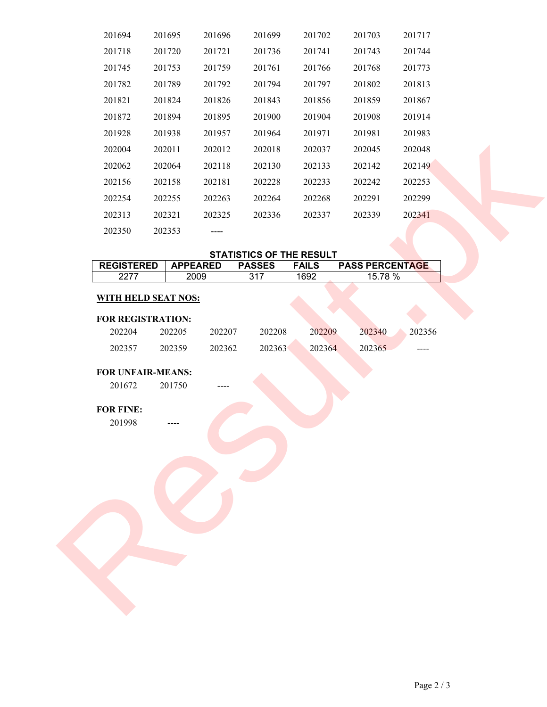| 201694                                       | 201695           | 201696          | 201699                          | 201702       | 201703  | 201717                 |
|----------------------------------------------|------------------|-----------------|---------------------------------|--------------|---------|------------------------|
| 201718                                       | 201720           | 201721          | 201736                          | 201741       | 201743  | 201744                 |
| 201745                                       | 201753           | 201759          | 201761                          | 201766       | 201768  | 201773                 |
| 201782                                       | 201789           | 201792          | 201794                          | 201797       | 201802  | 201813                 |
| 201821                                       | 201824           | 201826          | 201843                          | 201856       | 201859  | 201867                 |
| 201872                                       | 201894           | 201895          | 201900                          | 201904       | 201908  | 201914                 |
| 201928                                       | 201938           | 201957          | 201964                          | 201971       | 201981  | 201983                 |
| 202004                                       | 202011           | 202012          | 202018                          | 202037       | 202045  | 202048                 |
| 202062                                       | 202064           | 202118          | 202130                          | 202133       | 202142  | 202149                 |
| 202156                                       | 202158           | 202181          | 202228                          | 202233       | 202242  | 202253                 |
| 202254                                       | 202255           | 202263          | 202264                          | 202268       | 202291  | 202299                 |
| 202313                                       | 202321           | 202325          | 202336                          | 202337       | 202339  | 202341                 |
| 202350                                       | 202353           |                 |                                 |              |         |                        |
|                                              |                  |                 | <b>STATISTICS OF THE RESULT</b> |              |         |                        |
| <b>REGISTERED</b>                            |                  | <b>APPEARED</b> | <b>PASSES</b>                   | <b>FAILS</b> |         | <b>PASS PERCENTAGE</b> |
| 2277                                         |                  | 2009            | 317                             | 1692         | 15.78 % |                        |
| 202204                                       | 202205           | 202207          | 202208                          | 202209       | 202340  | 202356                 |
| 202357<br><b>FOR UNFAIR-MEANS:</b><br>201672 | 202359<br>201750 | 202362          | 202363                          | 202364       | 202365  |                        |
| FOR FINE:<br>201998                          |                  |                 |                                 |              |         |                        |

## **STATISTICS OF THE RESULT**

| <b>REGISTERED</b> | <b>APPEARED</b> | <b>PASSES</b> | <b>FAILS</b> | <b>PASS PERCENTAGE</b> |
|-------------------|-----------------|---------------|--------------|------------------------|
| 2277              | 2009            | 317           | 1692         | 15.78 %                |

## **WITH HELD SEAT NOS:**

## **FOR REGISTRATION:**

| 202204 | 202205 | 202207 | 202208 | 202209 | 202340 | 202356    |
|--------|--------|--------|--------|--------|--------|-----------|
| 202357 | 202359 | 202362 | 202363 | 202364 | 202365 | $- - - -$ |

## **FOR UNFAIR-MEANS:**

## **FOR FINE:**